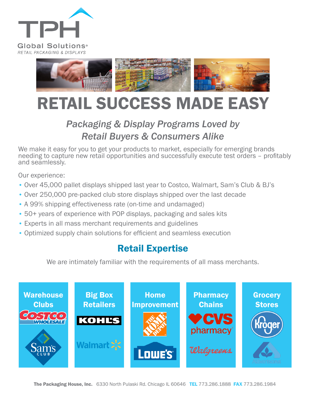



# RETAIL SUCCESS MADE EASY

## *Packaging & Display Programs Loved by Retail Buyers & Consumers Alike*

We make it easy for you to get your products to market, especially for emerging brands needing to capture new retail opportunities and successfully execute test orders – profitably and seamlessly.

Our experience:

- Over 45,000 pallet displays shipped last year to Costco, Walmart, Sam's Club & BJ's
- Over 250,000 pre-packed club store displays shipped over the last decade
- A 99% shipping effectiveness rate (on-time and undamaged)
- 50+ years of experience with POP displays, packaging and sales kits
- Experts in all mass merchant requirements and guidelines
- Optimized supply chain solutions for efficient and seamless execution

## Retail Expertise

We are intimately familiar with the requirements of all mass merchants.